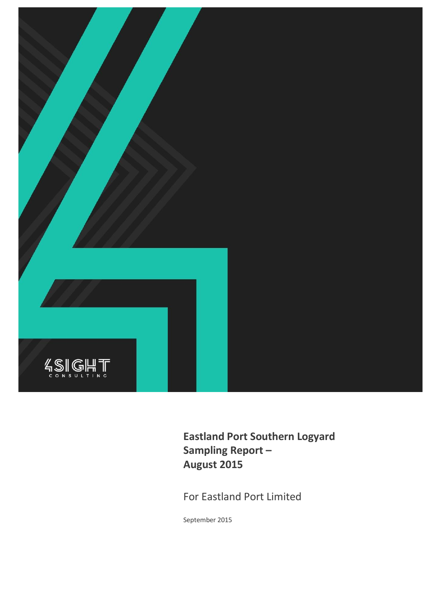

**Eastland Port Southern Logyard Sampling Report – August 2015** 

For Eastland Port Limited

September 2015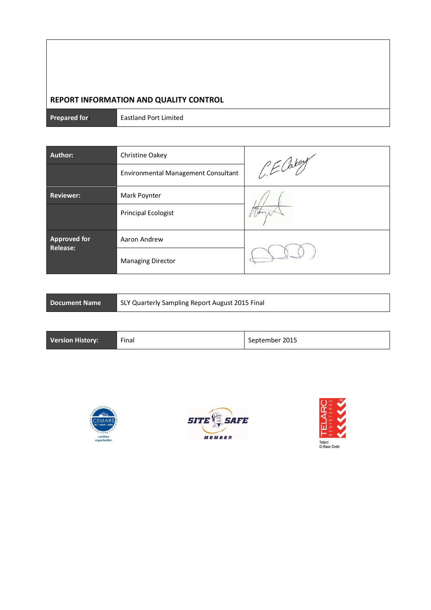# **REPORT INFORMATION AND QUALITY CONTROL**

**Prepared for:** Eastland Port Limited

| <b>Author:</b>                         | Christine Oakey                            |            |  |  |
|----------------------------------------|--------------------------------------------|------------|--|--|
|                                        | <b>Environmental Management Consultant</b> | P.E. Cakey |  |  |
| <b>Reviewer:</b>                       | Mark Poynter                               |            |  |  |
|                                        | <b>Principal Ecologist</b>                 |            |  |  |
| <b>Approved for</b><br><b>Release:</b> | Aaron Andrew                               |            |  |  |
|                                        | <b>Managing Director</b>                   |            |  |  |

| <b>Document Name</b> | SLY Quarterly Sampling Report August 2015 Final |
|----------------------|-------------------------------------------------|
|                      |                                                 |

| <b>Version History:</b><br>Final<br>September 2015 |  |
|----------------------------------------------------|--|
|----------------------------------------------------|--|





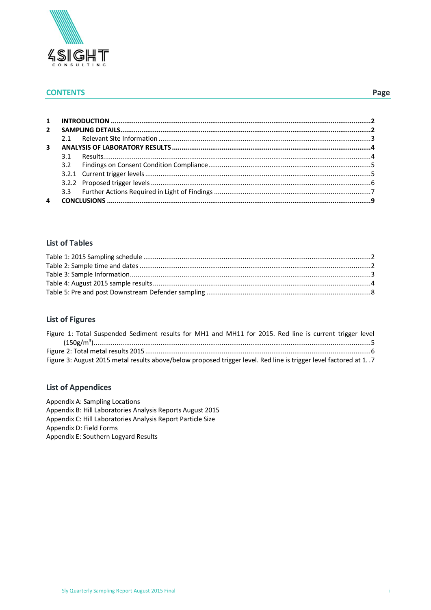

## **CONTENTS Page**

| $2^{\circ}$  |  |  |
|--------------|--|--|
|              |  |  |
| $\mathbf{3}$ |  |  |
|              |  |  |
|              |  |  |
|              |  |  |
|              |  |  |
|              |  |  |
| 4            |  |  |

## **List of Tables**

## **List of Figures**

| Figure 1: Total Suspended Sediment results for MH1 and MH11 for 2015. Red line is current trigger level          |
|------------------------------------------------------------------------------------------------------------------|
|                                                                                                                  |
|                                                                                                                  |
| Figure 3: August 2015 metal results above/below proposed trigger level. Red line is trigger level factored at 17 |

# **List of Appendices**

Appendix A: [Sampling Locations](#page-11-0) Appendix B: [Hill Laboratories Analysis Reports August 2015](#page-12-0) Appendix C: [Hill Laboratories Analysis Report Particle Size](#page-13-0) [Appendix D:](#page-14-0) Field Forms Appendix E: [Southern Logyard Results](#page-15-0)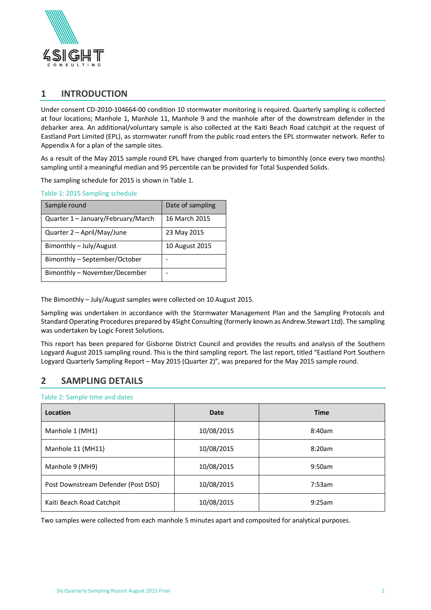

## <span id="page-3-0"></span>**1 INTRODUCTION**

Under consent CD-2010-104664-00 condition 10 stormwater monitoring is required. Quarterly sampling is collected at four locations; Manhole 1, Manhole 11, Manhole 9 and the manhole after of the downstream defender in the debarker area. An additional/voluntary sample is also collected at the Kaiti Beach Road catchpit at the request of Eastland Port Limited (EPL), as stormwater runoff from the public road enters the EPL stormwater network. Refer to Appendix A for a plan of the sample sites.

As a result of the May 2015 sample round EPL have changed from quarterly to bimonthly (once every two months) sampling until a meaningful median and 95 percentile can be provided for Total Suspended Solids.

The sampling schedule for 2015 is shown in Table 1.

<span id="page-3-2"></span>Table 1: 2015 Sampling schedule

| Sample round                       | Date of sampling |
|------------------------------------|------------------|
| Quarter 1 - January/February/March | 16 March 2015    |
| Quarter 2 – April/May/June         | 23 May 2015      |
| Bimonthly - July/August            | 10 August 2015   |
| Bimonthly – September/October      |                  |
| Bimonthly - November/December      |                  |

The Bimonthly – July/August samples were collected on 10 August 2015.

Sampling was undertaken in accordance with the Stormwater Management Plan and the Sampling Protocols and Standard Operating Procedures prepared by 4Sight Consulting (formerly known as Andrew.Stewart Ltd). The sampling was undertaken by Logic Forest Solutions.

This report has been prepared for Gisborne District Council and provides the results and analysis of the Southern Logyard August 2015 sampling round. This is the third sampling report. The last report, titled "Eastland Port Southern Logyard Quarterly Sampling Report – May 2015 (Quarter 2)", was prepared for the May 2015 sample round.

## <span id="page-3-1"></span>**2 SAMPLING DETAILS**

#### <span id="page-3-3"></span>Table 2: Sample time and dates

| Location                            | Date       | <b>Time</b> |  |  |  |
|-------------------------------------|------------|-------------|--|--|--|
| Manhole 1 (MH1)                     | 10/08/2015 | 8:40am      |  |  |  |
| Manhole 11 (MH11)                   | 10/08/2015 | 8:20am      |  |  |  |
| Manhole 9 (MH9)                     | 10/08/2015 | 9:50am      |  |  |  |
| Post Downstream Defender (Post DSD) | 10/08/2015 | 7:53am      |  |  |  |
| Kaiti Beach Road Catchpit           | 10/08/2015 | 9:25am      |  |  |  |

Two samples were collected from each manhole 5 minutes apart and composited for analytical purposes.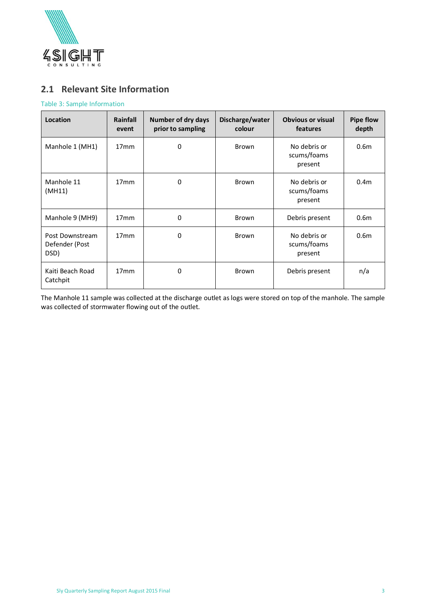

# <span id="page-4-0"></span>**2.1 Relevant Site Information**

## <span id="page-4-1"></span>Table 3: Sample Information

| Location                                  | Rainfall<br>event     | Number of dry days<br>prior to sampling | Discharge/water<br>colour | <b>Obvious or visual</b><br>features   | Pipe flow<br>depth |
|-------------------------------------------|-----------------------|-----------------------------------------|---------------------------|----------------------------------------|--------------------|
| Manhole 1 (MH1)                           | 17 <sub>mm</sub><br>0 |                                         | <b>Brown</b>              | No debris or<br>scums/foams<br>present | 0.6 <sub>m</sub>   |
| Manhole 11<br>0<br>17mm<br>(MH11)         |                       |                                         | <b>Brown</b>              | No debris or<br>scums/foams<br>present | 0.4 <sub>m</sub>   |
| Manhole 9 (MH9)<br>17 <sub>mm</sub><br>0  |                       |                                         | <b>Brown</b>              | 0.6 <sub>m</sub>                       |                    |
| Post Downstream<br>Defender (Post<br>DSD) | 17mm                  | 0                                       | Brown                     | No debris or<br>scums/foams<br>present | 0.6 <sub>m</sub>   |
| Kaiti Beach Road<br>Catchpit              | 17mm                  | 0                                       | Brown                     | Debris present                         | n/a                |

The Manhole 11 sample was collected at the discharge outlet as logs were stored on top of the manhole. The sample was collected of stormwater flowing out of the outlet.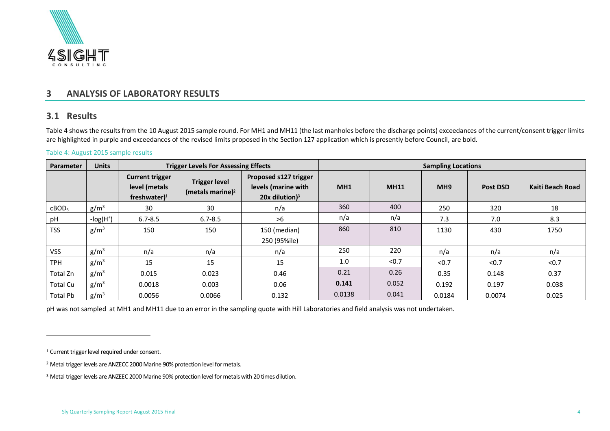

# **3 ANALYSIS OF LABORATORY RESULTS**

## **3.1 Results**

Table 4 shows the results from the 10 August 2015 sample round. For MH1 and MH11 (the last manholes before the discharge points) exceedances of the current/consent trigger limits are highlighted in purple and exceedances of the revised limits proposed in the Section 127 application which is presently before Council, are bold.

#### Table 4: August 2015 sample results

| Parameter         | <b>Units</b>     |                                                                     | <b>Trigger Levels For Assessing Effects</b> |                                                                     | <b>Sampling Locations</b> |             |                 |                 |                  |  |
|-------------------|------------------|---------------------------------------------------------------------|---------------------------------------------|---------------------------------------------------------------------|---------------------------|-------------|-----------------|-----------------|------------------|--|
|                   |                  | <b>Current trigger</b><br>level (metals<br>freshwater) <sup>1</sup> | <b>Trigger level</b><br>(metals marine) $2$ | Proposed s127 trigger<br>levels (marine with<br>$20x$ dilution) $3$ | MH <sub>1</sub>           | <b>MH11</b> | MH <sub>9</sub> | <b>Post DSD</b> | Kaiti Beach Road |  |
| cBOD <sub>5</sub> | g/m <sup>3</sup> | 30                                                                  | 30                                          | n/a                                                                 | 360                       | 400         | 250             | 320             | 18               |  |
| pH                | $-log(H+)$       | $6.7 - 8.5$                                                         | $6.7 - 8.5$                                 | >6                                                                  | n/a                       | n/a         | 7.3             | 7.0             | 8.3              |  |
| <b>TSS</b>        | $g/m^3$          | 150                                                                 | 150                                         | 150 (median)<br>250 (95%ile)                                        | 860                       | 810         | 1130            | 430             | 1750             |  |
| <b>VSS</b>        | $g/m^3$          | n/a                                                                 | n/a                                         | n/a                                                                 | 250                       | 220         | n/a             | n/a             | n/a              |  |
| <b>TPH</b>        | $g/m^3$          | 15                                                                  | 15                                          | 15                                                                  | 1.0                       | < 0.7       | < 0.7           | < 0.7           | < 0.7            |  |
| Total Zn          | $g/m^3$          | 0.015                                                               | 0.023                                       | 0.46                                                                | 0.21                      | 0.26        | 0.35            | 0.148           | 0.37             |  |
| Total Cu          | $g/m^3$          | 0.0018                                                              | 0.003                                       | 0.06                                                                | 0.141                     | 0.052       | 0.192           | 0.197           | 0.038            |  |
| Total Pb          | $g/m^3$          | 0.0056                                                              | 0.0066                                      | 0.132                                                               | 0.0138                    | 0.041       | 0.0184          | 0.0074          | 0.025            |  |

<span id="page-5-1"></span><span id="page-5-0"></span>pH was not sampled at MH1 and MH11 due to an error in the sampling quote with Hill Laboratories and field analysis was not undertaken.

<sup>1</sup> Current trigger level required under consent.

<span id="page-5-2"></span> $\overline{a}$ 

<sup>2</sup> Metal trigger levels are ANZECC 2000 Marine 90% protection level for metals.

<sup>&</sup>lt;sup>3</sup> Metal trigger levels are ANZEEC 2000 Marine 90% protection level for metals with 20 times dilution.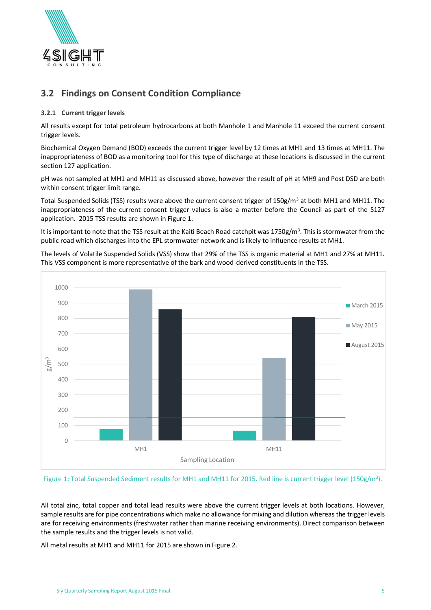

# <span id="page-6-0"></span>**3.2 Findings on Consent Condition Compliance**

## <span id="page-6-1"></span>**3.2.1 Current trigger levels**

All results except for total petroleum hydrocarbons at both Manhole 1 and Manhole 11 exceed the current consent trigger levels.

Biochemical Oxygen Demand (BOD) exceeds the current trigger level by 12 times at MH1 and 13 times at MH11. The inappropriateness of BOD as a monitoring tool for this type of discharge at these locations is discussed in the current section 127 application.

pH was not sampled at MH1 and MH11 as discussed above, however the result of pH at MH9 and Post DSD are both within consent trigger limit range.

Total Suspended Solids (TSS) results were above the current consent trigger of  $150g/m<sup>3</sup>$  at both MH1 and MH11. The inappropriateness of the current consent trigger values is also a matter before the Council as part of the S127 application. 2015 TSS results are shown in Figure 1.

It is important to note that the TSS result at the Kaiti Beach Road catchpit was 1750g/m<sup>3</sup>. This is stormwater from the public road which discharges into the EPL stormwater network and is likely to influence results at MH1.

The levels of Volatile Suspended Solids (VSS) show that 29% of the TSS is organic material at MH1 and 27% at MH11. This VSS component is more representative of the bark and wood-derived constituents in the TSS.



#### <span id="page-6-2"></span>Figure 1: Total Suspended Sediment results for MH1 and MH11 for 2015. Red line is current trigger level (150g/m<sup>3</sup>).

All total zinc, total copper and total lead results were above the current trigger levels at both locations. However, sample results are for pipe concentrations which make no allowance for mixing and dilution whereas the trigger levels are for receiving environments (freshwater rather than marine receiving environments). Direct comparison between the sample results and the trigger levels is not valid.

All metal results at MH1 and MH11 for 2015 are shown in Figure 2.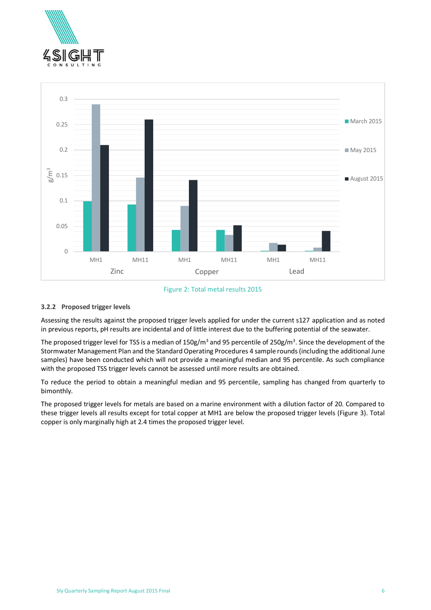



#### Figure 2: Total metal results 2015

#### <span id="page-7-1"></span><span id="page-7-0"></span>**3.2.2 Proposed trigger levels**

Assessing the results against the proposed trigger levels applied for under the current s127 application and as noted in previous reports, pH results are incidental and of little interest due to the buffering potential of the seawater.

The proposed trigger level for TSS is a median of 150g/m<sup>3</sup> and 95 percentile of 250g/m<sup>3</sup>. Since the development of the Stormwater Management Plan and the Standard Operating Procedures 4 sample rounds(including the additional June samples) have been conducted which will not provide a meaningful median and 95 percentile. As such compliance with the proposed TSS trigger levels cannot be assessed until more results are obtained.

To reduce the period to obtain a meaningful median and 95 percentile, sampling has changed from quarterly to bimonthly.

The proposed trigger levels for metals are based on a marine environment with a dilution factor of 20. Compared to these trigger levels all results except for total copper at MH1 are below the proposed trigger levels (Figure 3). Total copper is only marginally high at 2.4 times the proposed trigger level.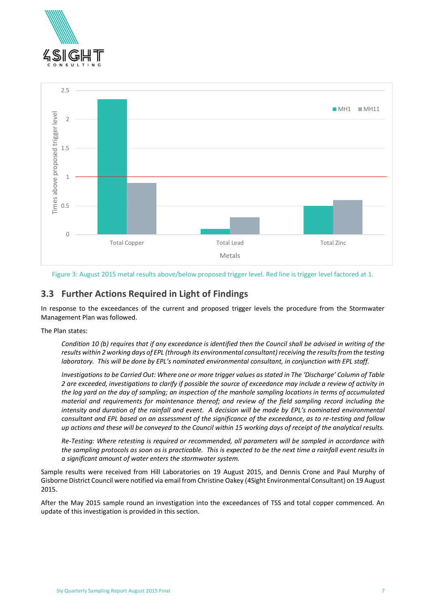



<span id="page-8-1"></span>Figure 3: August 2015 metal results above/below proposed trigger level. Red line is trigger level factored at 1.

# <span id="page-8-0"></span>**3.3 Further Actions Required in Light of Findings**

In response to the exceedances of the current and proposed trigger levels the procedure from the Stormwater Management Plan was followed.

The Plan states:

*Condition 10 (b) requires that if any exceedance is identified then the Council shall be advised in writing of the*  results within 2 working days of EPL (through its environmental consultant) receiving the results from the testing *laboratory. This will be done by EPL's nominated environmental consultant, in conjunction with EPL staff.*

*Investigations to be Carried Out: Where one or more trigger values as stated in The 'Discharge' Column of Table 2 are exceeded, investigations to clarify if possible the source of exceedance may include a review of activity in the log yard on the day of sampling; an inspection of the manhole sampling locations in terms of accumulated material and requirements for maintenance thereof; and review of the field sampling record including the intensity and duration of the rainfall and event. A decision will be made by EPL's nominated environmental consultant and EPL based on an assessment of the significance of the exceedance, as to re-testing and follow up actions and these will be conveyed to the Council within 15 working days of receipt of the analytical results.*

*Re-Testing: Where retesting is required or recommended, all parameters will be sampled in accordance with the sampling protocols as soon as is practicable. This is expected to be the next time a rainfall event results in a significant amount of water enters the stormwater system.* 

Sample results were received from Hill Laboratories on 19 August 2015, and Dennis Crone and Paul Murphy of Gisborne District Council were notified via email from Christine Oakey (4Sight Environmental Consultant) on 19 August 2015.

After the May 2015 sample round an investigation into the exceedances of TSS and total copper commenced. An update of this investigation is provided in this section.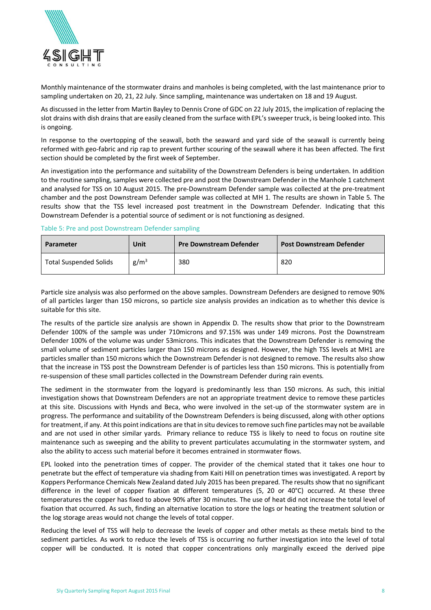

Monthly maintenance of the stormwater drains and manholes is being completed, with the last maintenance prior to sampling undertaken on 20, 21, 22 July. Since sampling, maintenance was undertaken on 18 and 19 August.

As discussed in the letter from Martin Bayley to Dennis Crone of GDC on 22 July 2015, the implication of replacing the slot drains with dish drains that are easily cleaned from the surface with EPL's sweeper truck, is being looked into. This is ongoing.

In response to the overtopping of the seawall, both the seaward and yard side of the seawall is currently being reformed with geo-fabric and rip rap to prevent further scouring of the seawall where it has been affected. The first section should be completed by the first week of September.

An investigation into the performance and suitability of the Downstream Defenders is being undertaken. In addition to the routine sampling, samples were collected pre and post the Downstream Defender in the Manhole 1 catchment and analysed for TSS on 10 August 2015. The pre-Downstream Defender sample was collected at the pre-treatment chamber and the post Downstream Defender sample was collected at MH 1. The results are shown in Table 5. The results show that the TSS level increased post treatment in the Downstream Defender. Indicating that this Downstream Defender is a potential source of sediment or is not functioning as designed.

#### <span id="page-9-0"></span>Table 5: Pre and post Downstream Defender sampling

| Parameter                     | Unit    | <b>Pre Downstream Defender</b> | <b>Post Downstream Defender</b> |  |  |
|-------------------------------|---------|--------------------------------|---------------------------------|--|--|
| <b>Total Suspended Solids</b> | $g/m^3$ | 380                            | 820                             |  |  |

Particle size analysis was also performed on the above samples. Downstream Defenders are designed to remove 90% of all particles larger than 150 microns, so particle size analysis provides an indication as to whether this device is suitable for this site.

The results of the particle size analysis are shown in Appendix D. The results show that prior to the Downstream Defender 100% of the sample was under 710microns and 97.15% was under 149 microns. Post the Downstream Defender 100% of the volume was under 53microns. This indicates that the Downstream Defender is removing the small volume of sediment particles larger than 150 microns as designed. However, the high TSS levels at MH1 are particles smaller than 150 microns which the Downstream Defender is not designed to remove. The results also show that the increase in TSS post the Downstream Defender is of particles less than 150 microns. This is potentially from re-suspension of these small particles collected in the Downstream Defender during rain events.

The sediment in the stormwater from the logyard is predominantly less than 150 microns. As such, this initial investigation shows that Downstream Defenders are not an appropriate treatment device to remove these particles at this site. Discussions with Hynds and Beca, who were involved in the set-up of the stormwater system are in progress. The performance and suitability of the Downstream Defenders is being discussed, along with other options for treatment, if any. At this point indications are that in situ devices to remove such fine particles may not be available and are not used in other similar yards. Primary reliance to reduce TSS is likely to need to focus on routine site maintenance such as sweeping and the ability to prevent particulates accumulating in the stormwater system, and also the ability to access such material before it becomes entrained in stormwater flows.

EPL looked into the penetration times of copper. The provider of the chemical stated that it takes one hour to penetrate but the effect of temperature via shading from Kaiti Hill on penetration times was investigated. A report by Koppers Performance Chemicals New Zealand dated July 2015 has been prepared. The results show that no significant difference in the level of copper fixation at different temperatures (5, 20 or 40°C) occurred. At these three temperatures the copper has fixed to above 90% after 30 minutes. The use of heat did not increase the total level of fixation that occurred. As such, finding an alternative location to store the logs or heating the treatment solution or the log storage areas would not change the levels of total copper.

Reducing the level of TSS will help to decrease the levels of copper and other metals as these metals bind to the sediment particles. As work to reduce the levels of TSS is occurring no further investigation into the level of total copper will be conducted. It is noted that copper concentrations only marginally exceed the derived pipe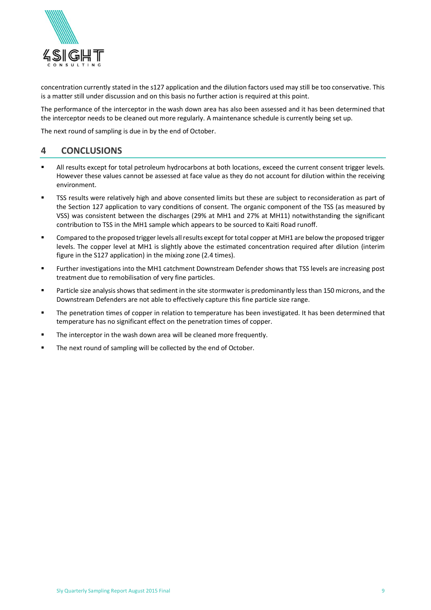

concentration currently stated in the s127 application and the dilution factors used may still be too conservative. This is a matter still under discussion and on this basis no further action is required at this point.

The performance of the interceptor in the wash down area has also been assessed and it has been determined that the interceptor needs to be cleaned out more regularly. A maintenance schedule is currently being set up.

The next round of sampling is due in by the end of October.

## <span id="page-10-0"></span>**4 CONCLUSIONS**

- All results except for total petroleum hydrocarbons at both locations, exceed the current consent trigger levels. However these values cannot be assessed at face value as they do not account for dilution within the receiving environment.
- TSS results were relatively high and above consented limits but these are subject to reconsideration as part of the Section 127 application to vary conditions of consent. The organic component of the TSS (as measured by VSS) was consistent between the discharges (29% at MH1 and 27% at MH11) notwithstanding the significant contribution to TSS in the MH1 sample which appears to be sourced to Kaiti Road runoff.
- Compared to the proposed trigger levels all results except for total copper at MH1 are below the proposed trigger levels. The copper level at MH1 is slightly above the estimated concentration required after dilution (interim figure in the S127 application) in the mixing zone (2.4 times).
- Further investigations into the MH1 catchment Downstream Defender shows that TSS levels are increasing post treatment due to remobilisation of very fine particles.
- Particle size analysis shows that sediment in the site stormwater is predominantly less than 150 microns, and the Downstream Defenders are not able to effectively capture this fine particle size range.
- **The penetration times of copper in relation to temperature has been investigated. It has been determined that** temperature has no significant effect on the penetration times of copper.
- **The interceptor in the wash down area will be cleaned more frequently.**
- **The next round of sampling will be collected by the end of October.**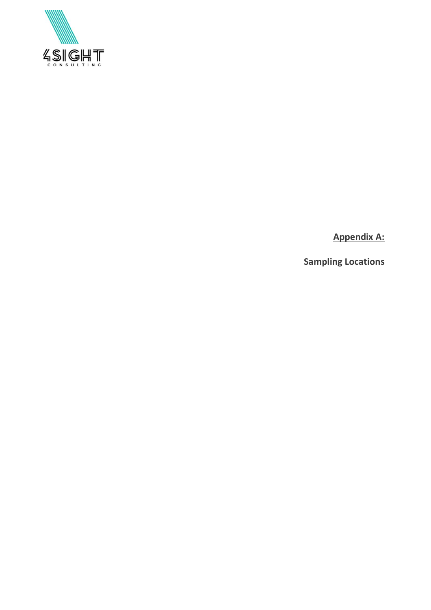<span id="page-11-0"></span>

**Appendix A:**

**Sampling Locations**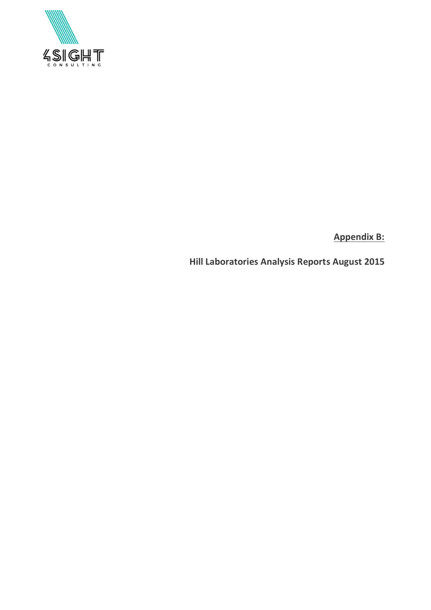

**Appendix B:**

<span id="page-12-0"></span>**Hill Laboratories Analysis Reports August 2015**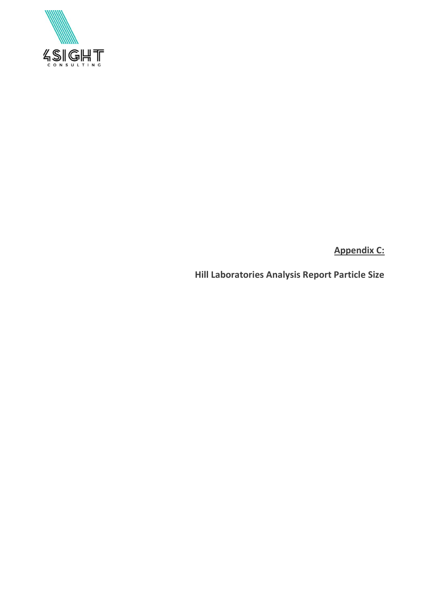

**Appendix C:**

<span id="page-13-0"></span>**Hill Laboratories Analysis Report Particle Size**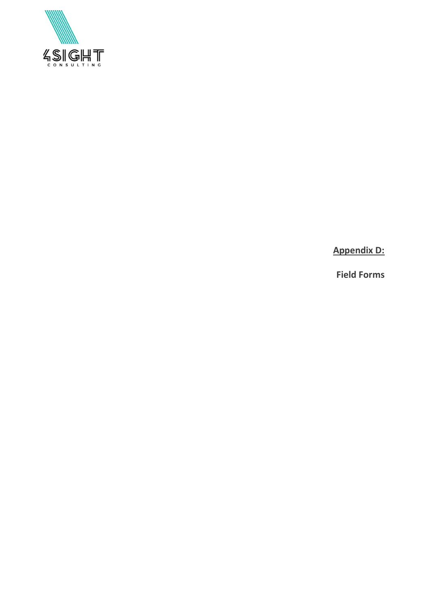<span id="page-14-0"></span>

**Appendix D:**

**Field Forms**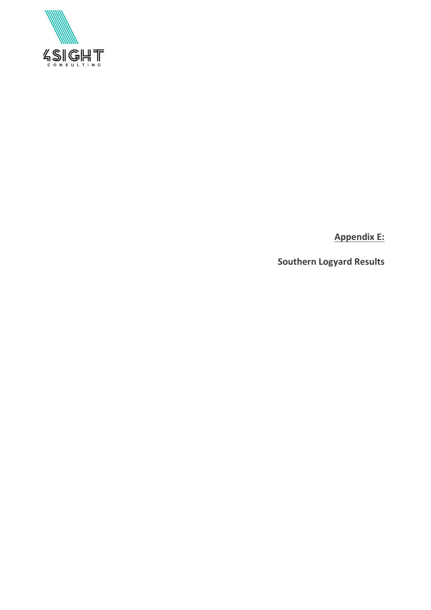

**Appendix E:**

<span id="page-15-0"></span>**Southern Logyard Results**